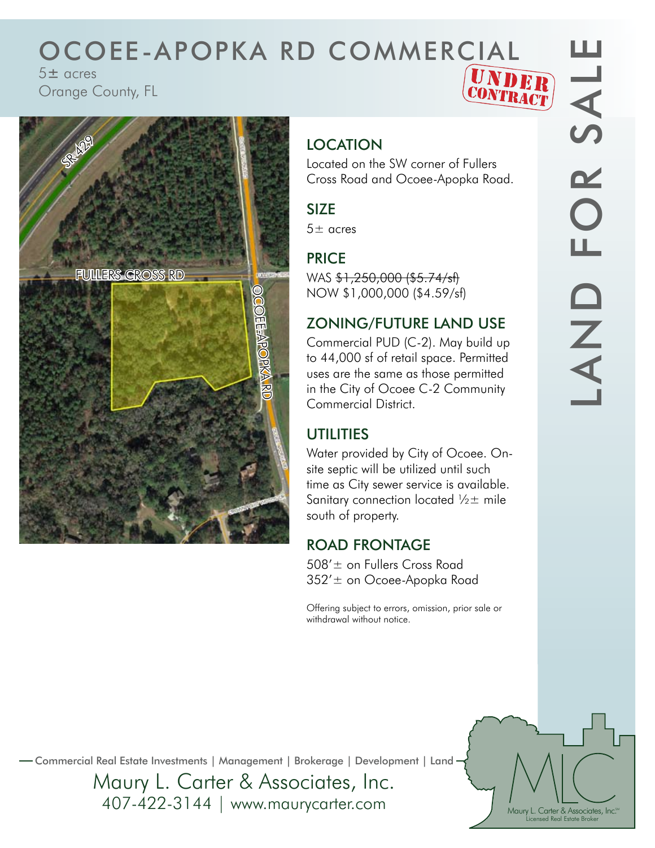# OCOEE-APOPKA RD COMMERCIAL<br> **S± acres**<br>
Orange County, FL<br>
Contract

5± acres Orange County, FL





## **LOCATION**

Located on the SW corner of Fullers Cross Road and Ocoee-Apopka Road.

#### SIZE

 $5\pm$  acres

### PRICE

WAS \$1,250,000 (\$5.74/sf) NOW \$1,000,000 (\$4.59/sf)

#### ZONING/FUTURE LAND USE

Commercial PUD (C-2). May build up to 44,000 sf of retail space. Permitted uses are the same as those permitted in the City of Ocoee C-2 Community Commercial District.

#### **UTILITIES**

Water provided by City of Ocoee. Onsite septic will be utilized until such time as City sewer service is available. Sanitary connection located  $\frac{1}{2}$  mile south of property.

#### ROAD FRONTAGE

508'± on Fullers Cross Road 352'± on Ocoee-Apopka Road

Offering subject to errors, omission, prior sale or withdrawal without notice.

Maury L. Carter & Associates, Inc.<sup>536</sup> Licensed Real Estate Broker

Commercial Real Estate Investments | Management | Brokerage | Development | Land

Maury L. Carter & Associates, Inc. 407-422-3144 | www.maurycarter.com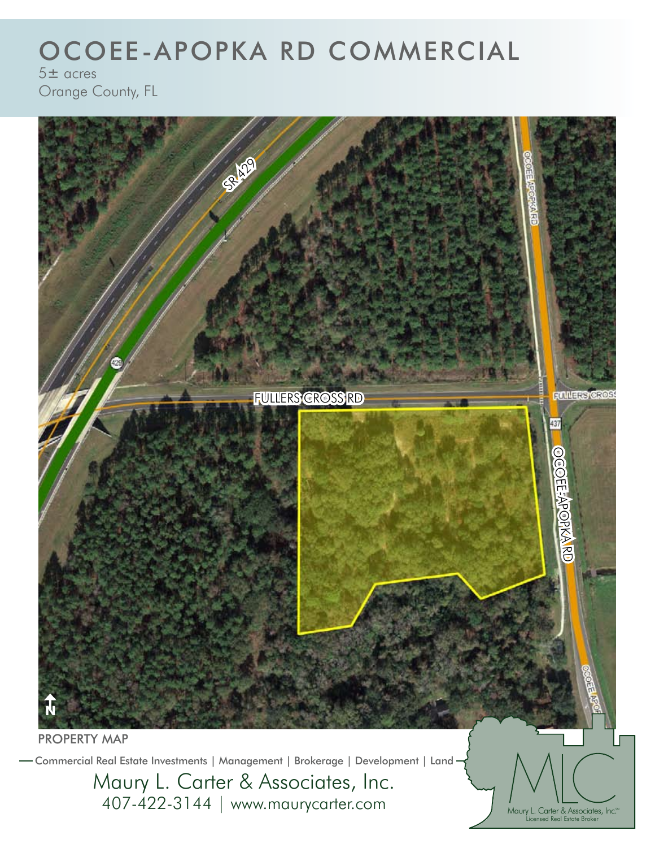# OCOEE-APOPKA RD COMMERCIAL

 $5±$  acres Orange County, FL

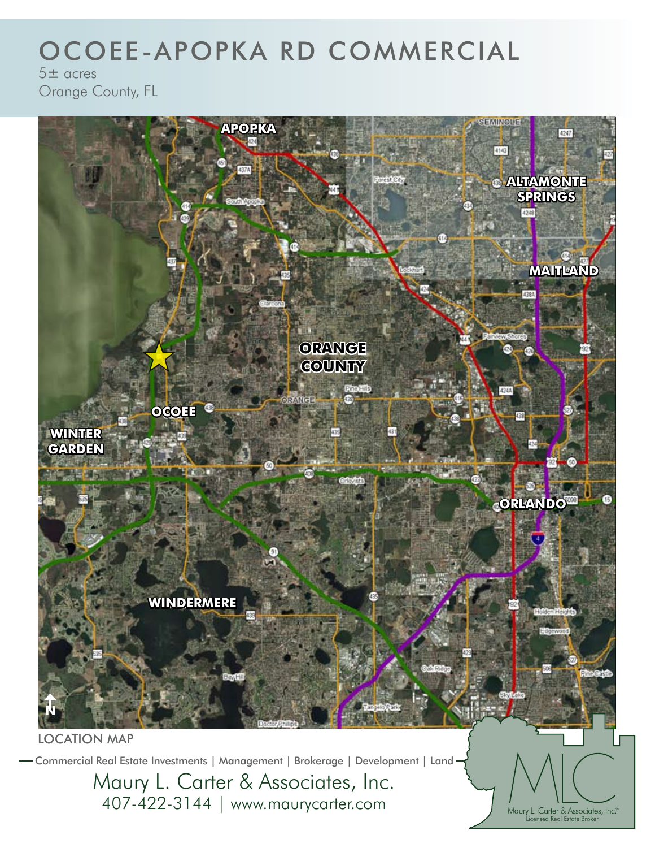## OCOEE-APOPKA RD COMMERCIAL

 $5 + \alpha$ cres Orange County, FL

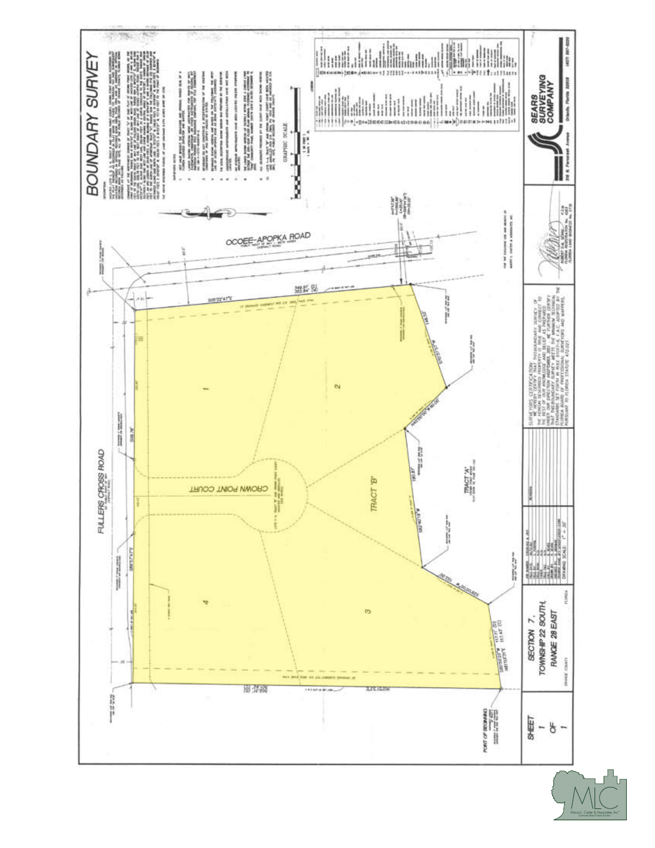